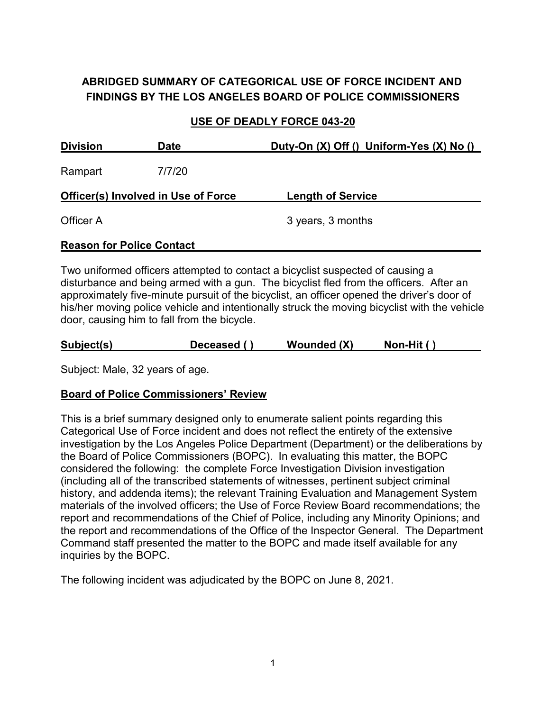# **ABRIDGED SUMMARY OF CATEGORICAL USE OF FORCE INCIDENT AND FINDINGS BY THE LOS ANGELES BOARD OF POLICE COMMISSIONERS**

#### **USE OF DEADLY FORCE 043-20**

| <b>Division</b>                            | Date   | Duty-On $(X)$ Off $()$ Uniform-Yes $(X)$ No $()$ |  |  |
|--------------------------------------------|--------|--------------------------------------------------|--|--|
| Rampart                                    | 7/7/20 |                                                  |  |  |
| <b>Officer(s) Involved in Use of Force</b> |        | <b>Length of Service</b>                         |  |  |
| Officer A                                  |        | 3 years, 3 months                                |  |  |
| <b>Reason for Police Contact</b>           |        |                                                  |  |  |

Two uniformed officers attempted to contact a bicyclist suspected of causing a disturbance and being armed with a gun. The bicyclist fled from the officers. After an approximately five-minute pursuit of the bicyclist, an officer opened the driver's door of his/her moving police vehicle and intentionally struck the moving bicyclist with the vehicle door, causing him to fall from the bicycle.

| Subject(s)<br>Deceased () | <b>Wounded (X)</b> | Non-Hit $()$ |
|---------------------------|--------------------|--------------|
|---------------------------|--------------------|--------------|

Subject: Male, 32 years of age.

## **Board of Police Commissioners' Review**

This is a brief summary designed only to enumerate salient points regarding this Categorical Use of Force incident and does not reflect the entirety of the extensive investigation by the Los Angeles Police Department (Department) or the deliberations by the Board of Police Commissioners (BOPC). In evaluating this matter, the BOPC considered the following: the complete Force Investigation Division investigation (including all of the transcribed statements of witnesses, pertinent subject criminal history, and addenda items); the relevant Training Evaluation and Management System materials of the involved officers; the Use of Force Review Board recommendations; the report and recommendations of the Chief of Police, including any Minority Opinions; and the report and recommendations of the Office of the Inspector General. The Department Command staff presented the matter to the BOPC and made itself available for any inquiries by the BOPC.

The following incident was adjudicated by the BOPC on June 8, 2021.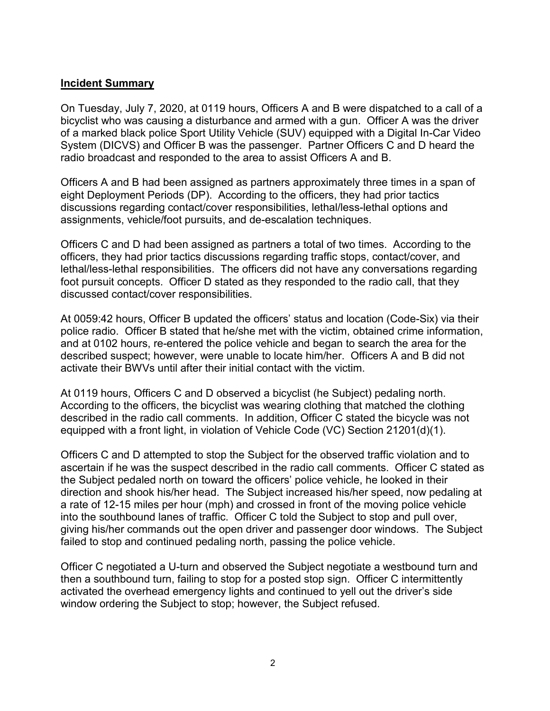#### **Incident Summary**

On Tuesday, July 7, 2020, at 0119 hours, Officers A and B were dispatched to a call of a bicyclist who was causing a disturbance and armed with a gun. Officer A was the driver of a marked black police Sport Utility Vehicle (SUV) equipped with a Digital In-Car Video System (DICVS) and Officer B was the passenger. Partner Officers C and D heard the radio broadcast and responded to the area to assist Officers A and B.

Officers A and B had been assigned as partners approximately three times in a span of eight Deployment Periods (DP). According to the officers, they had prior tactics discussions regarding contact/cover responsibilities, lethal/less-lethal options and assignments, vehicle/foot pursuits, and de-escalation techniques.

Officers C and D had been assigned as partners a total of two times. According to the officers, they had prior tactics discussions regarding traffic stops, contact/cover, and lethal/less-lethal responsibilities. The officers did not have any conversations regarding foot pursuit concepts. Officer D stated as they responded to the radio call, that they discussed contact/cover responsibilities.

At 0059:42 hours, Officer B updated the officers' status and location (Code-Six) via their police radio. Officer B stated that he/she met with the victim, obtained crime information, and at 0102 hours, re-entered the police vehicle and began to search the area for the described suspect; however, were unable to locate him/her. Officers A and B did not activate their BWVs until after their initial contact with the victim.

At 0119 hours, Officers C and D observed a bicyclist (he Subject) pedaling north. According to the officers, the bicyclist was wearing clothing that matched the clothing described in the radio call comments. In addition, Officer C stated the bicycle was not equipped with a front light, in violation of Vehicle Code (VC) Section 21201(d)(1).

Officers C and D attempted to stop the Subject for the observed traffic violation and to ascertain if he was the suspect described in the radio call comments. Officer C stated as the Subject pedaled north on toward the officers' police vehicle, he looked in their direction and shook his/her head. The Subject increased his/her speed, now pedaling at a rate of 12-15 miles per hour (mph) and crossed in front of the moving police vehicle into the southbound lanes of traffic. Officer C told the Subject to stop and pull over, giving his/her commands out the open driver and passenger door windows. The Subject failed to stop and continued pedaling north, passing the police vehicle.

Officer C negotiated a U-turn and observed the Subject negotiate a westbound turn and then a southbound turn, failing to stop for a posted stop sign. Officer C intermittently activated the overhead emergency lights and continued to yell out the driver's side window ordering the Subject to stop; however, the Subject refused.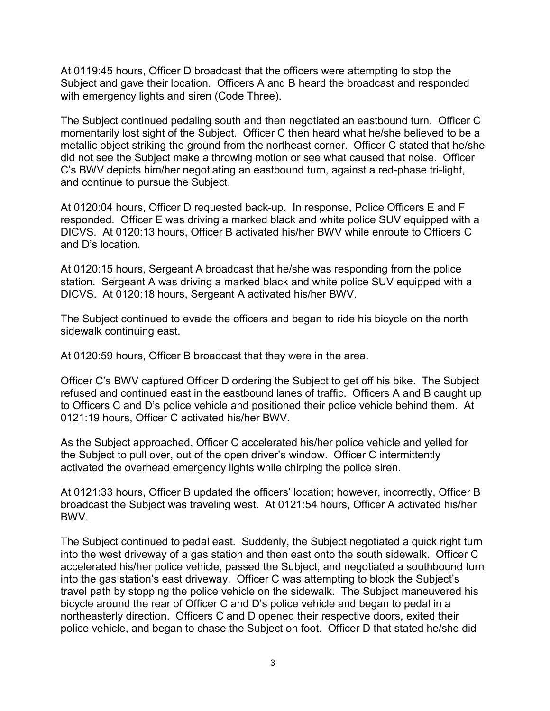At 0119:45 hours, Officer D broadcast that the officers were attempting to stop the Subject and gave their location. Officers A and B heard the broadcast and responded with emergency lights and siren (Code Three).

The Subject continued pedaling south and then negotiated an eastbound turn. Officer C momentarily lost sight of the Subject. Officer C then heard what he/she believed to be a metallic object striking the ground from the northeast corner. Officer C stated that he/she did not see the Subject make a throwing motion or see what caused that noise. Officer C's BWV depicts him/her negotiating an eastbound turn, against a red-phase tri-light, and continue to pursue the Subject.

At 0120:04 hours, Officer D requested back-up. In response, Police Officers E and F responded. Officer E was driving a marked black and white police SUV equipped with a DICVS. At 0120:13 hours, Officer B activated his/her BWV while enroute to Officers C and D's location.

At 0120:15 hours, Sergeant A broadcast that he/she was responding from the police station. Sergeant A was driving a marked black and white police SUV equipped with a DICVS. At 0120:18 hours, Sergeant A activated his/her BWV.

The Subject continued to evade the officers and began to ride his bicycle on the north sidewalk continuing east.

At 0120:59 hours, Officer B broadcast that they were in the area.

Officer C's BWV captured Officer D ordering the Subject to get off his bike. The Subject refused and continued east in the eastbound lanes of traffic. Officers A and B caught up to Officers C and D's police vehicle and positioned their police vehicle behind them. At 0121:19 hours, Officer C activated his/her BWV.

As the Subject approached, Officer C accelerated his/her police vehicle and yelled for the Subject to pull over, out of the open driver's window. Officer C intermittently activated the overhead emergency lights while chirping the police siren.

At 0121:33 hours, Officer B updated the officers' location; however, incorrectly, Officer B broadcast the Subject was traveling west. At 0121:54 hours, Officer A activated his/her BWV.

The Subject continued to pedal east. Suddenly, the Subject negotiated a quick right turn into the west driveway of a gas station and then east onto the south sidewalk. Officer C accelerated his/her police vehicle, passed the Subject, and negotiated a southbound turn into the gas station's east driveway. Officer C was attempting to block the Subject's travel path by stopping the police vehicle on the sidewalk. The Subject maneuvered his bicycle around the rear of Officer C and D's police vehicle and began to pedal in a northeasterly direction. Officers C and D opened their respective doors, exited their police vehicle, and began to chase the Subject on foot. Officer D that stated he/she did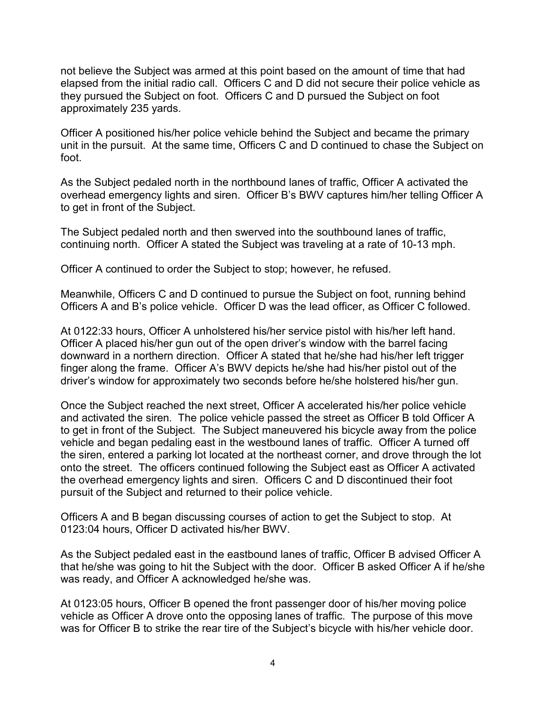not believe the Subject was armed at this point based on the amount of time that had elapsed from the initial radio call. Officers C and D did not secure their police vehicle as they pursued the Subject on foot. Officers C and D pursued the Subject on foot approximately 235 yards.

Officer A positioned his/her police vehicle behind the Subject and became the primary unit in the pursuit. At the same time, Officers C and D continued to chase the Subject on foot.

As the Subject pedaled north in the northbound lanes of traffic, Officer A activated the overhead emergency lights and siren. Officer B's BWV captures him/her telling Officer A to get in front of the Subject.

The Subject pedaled north and then swerved into the southbound lanes of traffic, continuing north. Officer A stated the Subject was traveling at a rate of 10-13 mph.

Officer A continued to order the Subject to stop; however, he refused.

Meanwhile, Officers C and D continued to pursue the Subject on foot, running behind Officers A and B's police vehicle. Officer D was the lead officer, as Officer C followed.

At 0122:33 hours, Officer A unholstered his/her service pistol with his/her left hand. Officer A placed his/her gun out of the open driver's window with the barrel facing downward in a northern direction. Officer A stated that he/she had his/her left trigger finger along the frame. Officer A's BWV depicts he/she had his/her pistol out of the driver's window for approximately two seconds before he/she holstered his/her gun.

Once the Subject reached the next street, Officer A accelerated his/her police vehicle and activated the siren. The police vehicle passed the street as Officer B told Officer A to get in front of the Subject. The Subject maneuvered his bicycle away from the police vehicle and began pedaling east in the westbound lanes of traffic. Officer A turned off the siren, entered a parking lot located at the northeast corner, and drove through the lot onto the street. The officers continued following the Subject east as Officer A activated the overhead emergency lights and siren. Officers C and D discontinued their foot pursuit of the Subject and returned to their police vehicle.

Officers A and B began discussing courses of action to get the Subject to stop. At 0123:04 hours, Officer D activated his/her BWV.

As the Subject pedaled east in the eastbound lanes of traffic, Officer B advised Officer A that he/she was going to hit the Subject with the door. Officer B asked Officer A if he/she was ready, and Officer A acknowledged he/she was.

At 0123:05 hours, Officer B opened the front passenger door of his/her moving police vehicle as Officer A drove onto the opposing lanes of traffic. The purpose of this move was for Officer B to strike the rear tire of the Subject's bicycle with his/her vehicle door.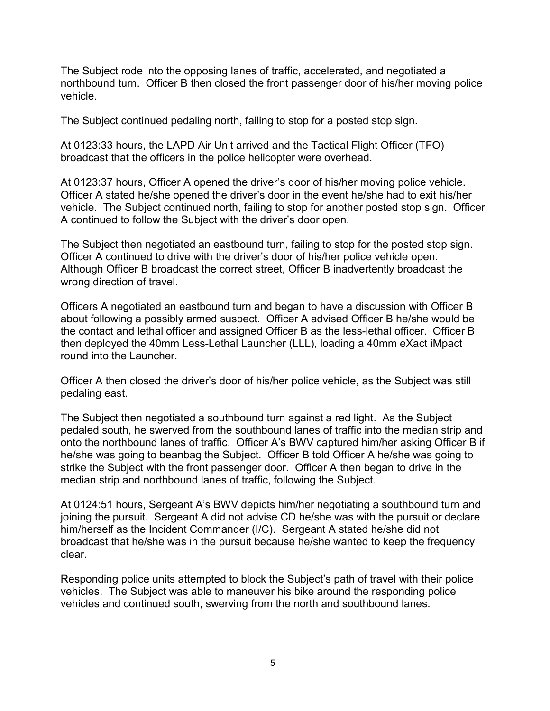The Subject rode into the opposing lanes of traffic, accelerated, and negotiated a northbound turn. Officer B then closed the front passenger door of his/her moving police vehicle.

The Subject continued pedaling north, failing to stop for a posted stop sign.

At 0123:33 hours, the LAPD Air Unit arrived and the Tactical Flight Officer (TFO) broadcast that the officers in the police helicopter were overhead.

At 0123:37 hours, Officer A opened the driver's door of his/her moving police vehicle. Officer A stated he/she opened the driver's door in the event he/she had to exit his/her vehicle. The Subject continued north, failing to stop for another posted stop sign. Officer A continued to follow the Subject with the driver's door open.

The Subject then negotiated an eastbound turn, failing to stop for the posted stop sign. Officer A continued to drive with the driver's door of his/her police vehicle open. Although Officer B broadcast the correct street, Officer B inadvertently broadcast the wrong direction of travel.

Officers A negotiated an eastbound turn and began to have a discussion with Officer B about following a possibly armed suspect. Officer A advised Officer B he/she would be the contact and lethal officer and assigned Officer B as the less-lethal officer. Officer B then deployed the 40mm Less-Lethal Launcher (LLL), loading a 40mm eXact iMpact round into the Launcher.

Officer A then closed the driver's door of his/her police vehicle, as the Subject was still pedaling east.

The Subject then negotiated a southbound turn against a red light. As the Subject pedaled south, he swerved from the southbound lanes of traffic into the median strip and onto the northbound lanes of traffic. Officer A's BWV captured him/her asking Officer B if he/she was going to beanbag the Subject. Officer B told Officer A he/she was going to strike the Subject with the front passenger door. Officer A then began to drive in the median strip and northbound lanes of traffic, following the Subject.

At 0124:51 hours, Sergeant A's BWV depicts him/her negotiating a southbound turn and joining the pursuit. Sergeant A did not advise CD he/she was with the pursuit or declare him/herself as the Incident Commander (I/C). Sergeant A stated he/she did not broadcast that he/she was in the pursuit because he/she wanted to keep the frequency clear.

Responding police units attempted to block the Subject's path of travel with their police vehicles. The Subject was able to maneuver his bike around the responding police vehicles and continued south, swerving from the north and southbound lanes.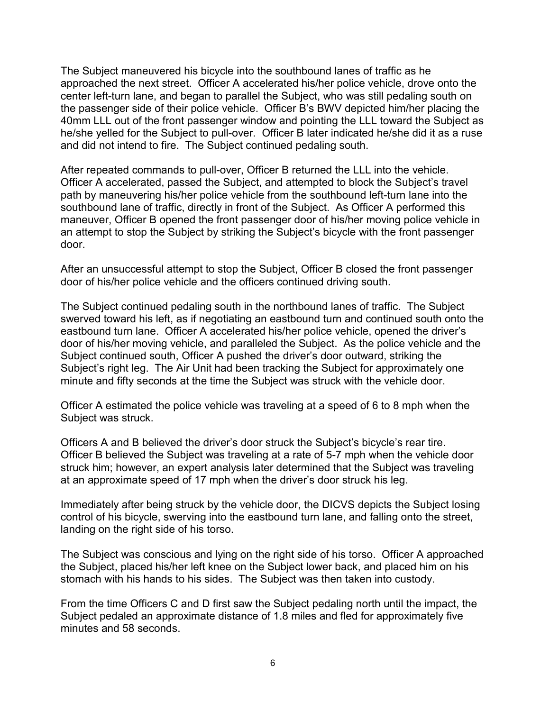The Subject maneuvered his bicycle into the southbound lanes of traffic as he approached the next street. Officer A accelerated his/her police vehicle, drove onto the center left-turn lane, and began to parallel the Subject, who was still pedaling south on the passenger side of their police vehicle. Officer B's BWV depicted him/her placing the 40mm LLL out of the front passenger window and pointing the LLL toward the Subject as he/she yelled for the Subject to pull-over. Officer B later indicated he/she did it as a ruse and did not intend to fire. The Subject continued pedaling south.

After repeated commands to pull-over, Officer B returned the LLL into the vehicle. Officer A accelerated, passed the Subject, and attempted to block the Subject's travel path by maneuvering his/her police vehicle from the southbound left-turn lane into the southbound lane of traffic, directly in front of the Subject. As Officer A performed this maneuver, Officer B opened the front passenger door of his/her moving police vehicle in an attempt to stop the Subject by striking the Subject's bicycle with the front passenger door.

After an unsuccessful attempt to stop the Subject, Officer B closed the front passenger door of his/her police vehicle and the officers continued driving south.

The Subject continued pedaling south in the northbound lanes of traffic. The Subject swerved toward his left, as if negotiating an eastbound turn and continued south onto the eastbound turn lane. Officer A accelerated his/her police vehicle, opened the driver's door of his/her moving vehicle, and paralleled the Subject. As the police vehicle and the Subject continued south, Officer A pushed the driver's door outward, striking the Subject's right leg. The Air Unit had been tracking the Subject for approximately one minute and fifty seconds at the time the Subject was struck with the vehicle door.

Officer A estimated the police vehicle was traveling at a speed of 6 to 8 mph when the Subject was struck.

Officers A and B believed the driver's door struck the Subject's bicycle's rear tire. Officer B believed the Subject was traveling at a rate of 5-7 mph when the vehicle door struck him; however, an expert analysis later determined that the Subject was traveling at an approximate speed of 17 mph when the driver's door struck his leg.

Immediately after being struck by the vehicle door, the DICVS depicts the Subject losing control of his bicycle, swerving into the eastbound turn lane, and falling onto the street, landing on the right side of his torso.

The Subject was conscious and lying on the right side of his torso. Officer A approached the Subject, placed his/her left knee on the Subject lower back, and placed him on his stomach with his hands to his sides. The Subject was then taken into custody.

From the time Officers C and D first saw the Subject pedaling north until the impact, the Subject pedaled an approximate distance of 1.8 miles and fled for approximately five minutes and 58 seconds.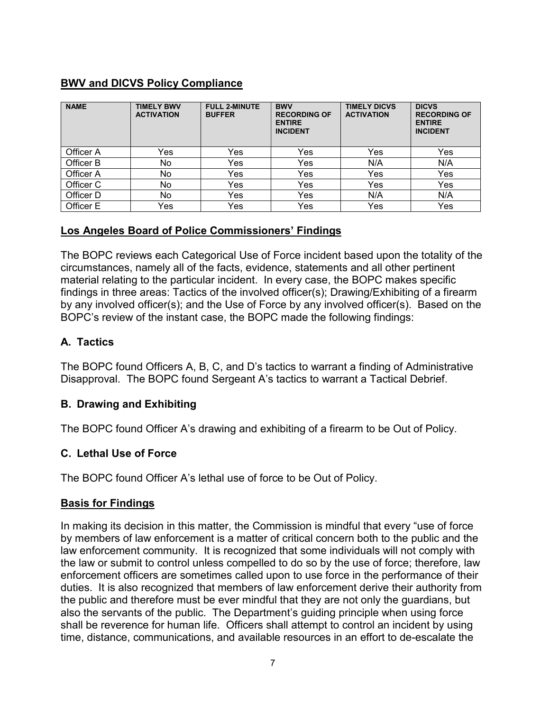# **BWV and DICVS Policy Compliance**

| <b>NAME</b> | <b>TIMELY BWV</b><br><b>ACTIVATION</b> | <b>FULL 2-MINUTE</b><br><b>BUFFER</b> | <b>BWV</b><br><b>RECORDING OF</b><br><b>ENTIRE</b><br><b>INCIDENT</b> | <b>TIMELY DICVS</b><br><b>ACTIVATION</b> | <b>DICVS</b><br><b>RECORDING OF</b><br><b>ENTIRE</b><br><b>INCIDENT</b> |
|-------------|----------------------------------------|---------------------------------------|-----------------------------------------------------------------------|------------------------------------------|-------------------------------------------------------------------------|
| Officer A   | Yes                                    | Yes                                   | Yes                                                                   | Yes                                      | Yes                                                                     |
| Officer B   | No                                     | Yes                                   | Yes                                                                   | N/A                                      | N/A                                                                     |
| Officer A   | No                                     | Yes                                   | Yes                                                                   | Yes                                      | Yes                                                                     |
| Officer C   | No                                     | Yes                                   | Yes                                                                   | Yes                                      | Yes                                                                     |
| Officer D   | No                                     | Yes                                   | Yes                                                                   | N/A                                      | N/A                                                                     |
| Officer E   | Yes                                    | Yes                                   | Yes                                                                   | Yes                                      | Yes                                                                     |

#### **Los Angeles Board of Police Commissioners' Findings**

The BOPC reviews each Categorical Use of Force incident based upon the totality of the circumstances, namely all of the facts, evidence, statements and all other pertinent material relating to the particular incident. In every case, the BOPC makes specific findings in three areas: Tactics of the involved officer(s); Drawing/Exhibiting of a firearm by any involved officer(s); and the Use of Force by any involved officer(s). Based on the BOPC's review of the instant case, the BOPC made the following findings:

# **A. Tactics**

The BOPC found Officers A, B, C, and D's tactics to warrant a finding of Administrative Disapproval. The BOPC found Sergeant A's tactics to warrant a Tactical Debrief.

## **B. Drawing and Exhibiting**

The BOPC found Officer A's drawing and exhibiting of a firearm to be Out of Policy.

## **C. Lethal Use of Force**

The BOPC found Officer A's lethal use of force to be Out of Policy.

## **Basis for Findings**

In making its decision in this matter, the Commission is mindful that every "use of force by members of law enforcement is a matter of critical concern both to the public and the law enforcement community. It is recognized that some individuals will not comply with the law or submit to control unless compelled to do so by the use of force; therefore, law enforcement officers are sometimes called upon to use force in the performance of their duties. It is also recognized that members of law enforcement derive their authority from the public and therefore must be ever mindful that they are not only the guardians, but also the servants of the public. The Department's guiding principle when using force shall be reverence for human life. Officers shall attempt to control an incident by using time, distance, communications, and available resources in an effort to de-escalate the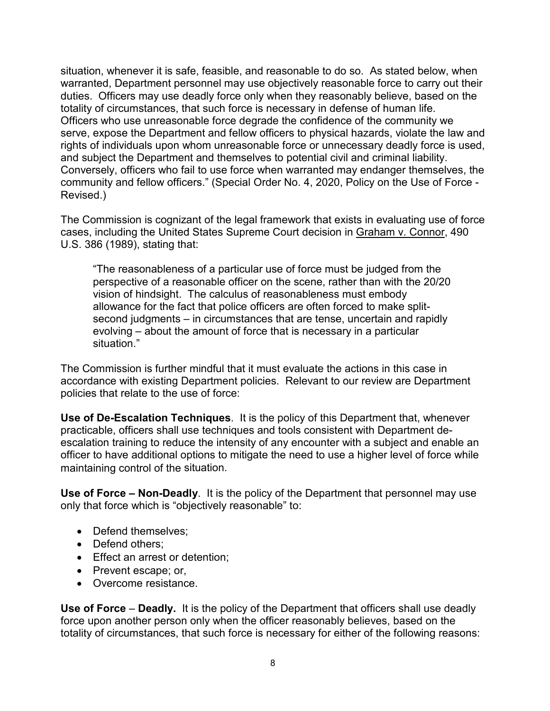situation, whenever it is safe, feasible, and reasonable to do so. As stated below, when warranted, Department personnel may use objectively reasonable force to carry out their duties. Officers may use deadly force only when they reasonably believe, based on the totality of circumstances, that such force is necessary in defense of human life. Officers who use unreasonable force degrade the confidence of the community we serve, expose the Department and fellow officers to physical hazards, violate the law and rights of individuals upon whom unreasonable force or unnecessary deadly force is used, and subject the Department and themselves to potential civil and criminal liability. Conversely, officers who fail to use force when warranted may endanger themselves, the community and fellow officers." (Special Order No. 4, 2020, Policy on the Use of Force - Revised.)

The Commission is cognizant of the legal framework that exists in evaluating use of force cases, including the United States Supreme Court decision in Graham v. Connor, 490 U.S. 386 (1989), stating that:

"The reasonableness of a particular use of force must be judged from the perspective of a reasonable officer on the scene, rather than with the 20/20 vision of hindsight. The calculus of reasonableness must embody allowance for the fact that police officers are often forced to make splitsecond judgments – in circumstances that are tense, uncertain and rapidly evolving – about the amount of force that is necessary in a particular situation."

The Commission is further mindful that it must evaluate the actions in this case in accordance with existing Department policies. Relevant to our review are Department policies that relate to the use of force:

**Use of De-Escalation Techniques**. It is the policy of this Department that, whenever practicable, officers shall use techniques and tools consistent with Department deescalation training to reduce the intensity of any encounter with a subject and enable an officer to have additional options to mitigate the need to use a higher level of force while maintaining control of the situation.

**Use of Force – Non-Deadly**. It is the policy of the Department that personnel may use only that force which is "objectively reasonable" to:

- Defend themselves:
- Defend others;
- Effect an arrest or detention;
- Prevent escape; or,
- Overcome resistance.

**Use of Force** – **Deadly.** It is the policy of the Department that officers shall use deadly force upon another person only when the officer reasonably believes, based on the totality of circumstances, that such force is necessary for either of the following reasons: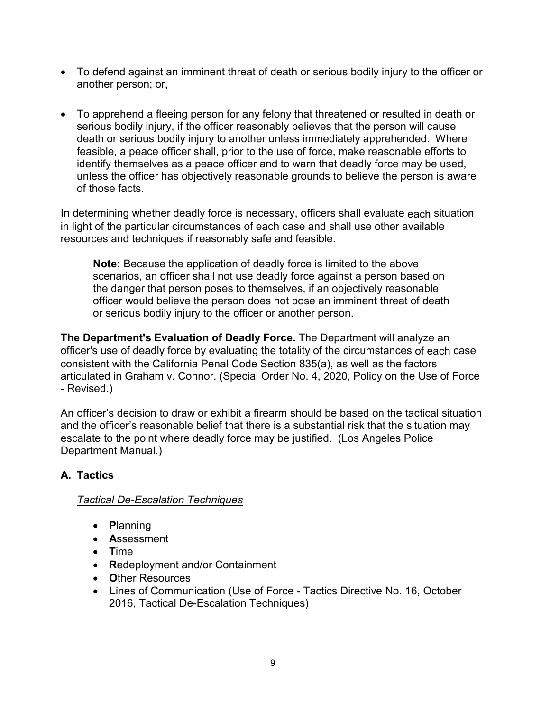- To defend against an imminent threat of death or serious bodily injury to the officer or another person; or,
- To apprehend a fleeing person for any felony that threatened or resulted in death or serious bodily injury, if the officer reasonably believes that the person will cause death or serious bodily injury to another unless immediately apprehended. Where feasible, a peace officer shall, prior to the use of force, make reasonable efforts to identify themselves as a peace officer and to warn that deadly force may be used, unless the officer has objectively reasonable grounds to believe the person is aware of those facts.

In determining whether deadly force is necessary, officers shall evaluate each situation in light of the particular circumstances of each case and shall use other available resources and techniques if reasonably safe and feasible.

**Note:** Because the application of deadly force is limited to the above scenarios, an officer shall not use deadly force against a person based on the danger that person poses to themselves, if an objectively reasonable officer would believe the person does not pose an imminent threat of death or serious bodily injury to the officer or another person.

**The Department's Evaluation of Deadly Force.** The Department will analyze an officer's use of deadly force by evaluating the totality of the circumstances of each case consistent with the California Penal Code Section 835(a), as well as the factors articulated in Graham v. Connor. (Special Order No. 4, 2020, Policy on the Use of Force - Revised.)

An officer's decision to draw or exhibit a firearm should be based on the tactical situation and the officer's reasonable belief that there is a substantial risk that the situation may escalate to the point where deadly force may be justified. (Los Angeles Police Department Manual.)

# **A. Tactics**

## *Tactical De-Escalation Techniques*

- **P**lanning
- **A**ssessment
- **T**ime
- **R**edeployment and/or Containment
- **O**ther Resources
- **L**ines of Communication (Use of Force Tactics Directive No. 16, October 2016, Tactical De-Escalation Techniques)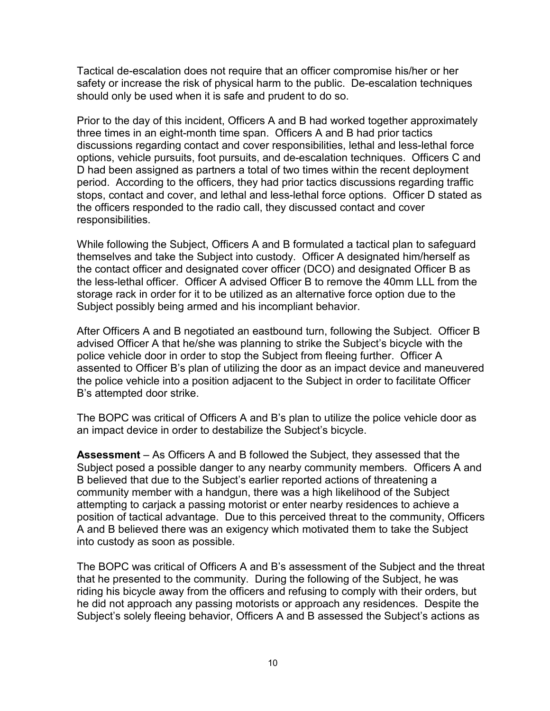Tactical de-escalation does not require that an officer compromise his/her or her safety or increase the risk of physical harm to the public. De-escalation techniques should only be used when it is safe and prudent to do so.

Prior to the day of this incident, Officers A and B had worked together approximately three times in an eight-month time span. Officers A and B had prior tactics discussions regarding contact and cover responsibilities, lethal and less-lethal force options, vehicle pursuits, foot pursuits, and de-escalation techniques. Officers C and D had been assigned as partners a total of two times within the recent deployment period. According to the officers, they had prior tactics discussions regarding traffic stops, contact and cover, and lethal and less-lethal force options. Officer D stated as the officers responded to the radio call, they discussed contact and cover responsibilities.

While following the Subject, Officers A and B formulated a tactical plan to safeguard themselves and take the Subject into custody. Officer A designated him/herself as the contact officer and designated cover officer (DCO) and designated Officer B as the less-lethal officer. Officer A advised Officer B to remove the 40mm LLL from the storage rack in order for it to be utilized as an alternative force option due to the Subject possibly being armed and his incompliant behavior.

After Officers A and B negotiated an eastbound turn, following the Subject. Officer B advised Officer A that he/she was planning to strike the Subject's bicycle with the police vehicle door in order to stop the Subject from fleeing further. Officer A assented to Officer B's plan of utilizing the door as an impact device and maneuvered the police vehicle into a position adjacent to the Subject in order to facilitate Officer B's attempted door strike.

The BOPC was critical of Officers A and B's plan to utilize the police vehicle door as an impact device in order to destabilize the Subject's bicycle.

**Assessment** – As Officers A and B followed the Subject, they assessed that the Subject posed a possible danger to any nearby community members. Officers A and B believed that due to the Subject's earlier reported actions of threatening a community member with a handgun, there was a high likelihood of the Subject attempting to carjack a passing motorist or enter nearby residences to achieve a position of tactical advantage. Due to this perceived threat to the community, Officers A and B believed there was an exigency which motivated them to take the Subject into custody as soon as possible.

The BOPC was critical of Officers A and B's assessment of the Subject and the threat that he presented to the community. During the following of the Subject, he was riding his bicycle away from the officers and refusing to comply with their orders, but he did not approach any passing motorists or approach any residences. Despite the Subject's solely fleeing behavior, Officers A and B assessed the Subject's actions as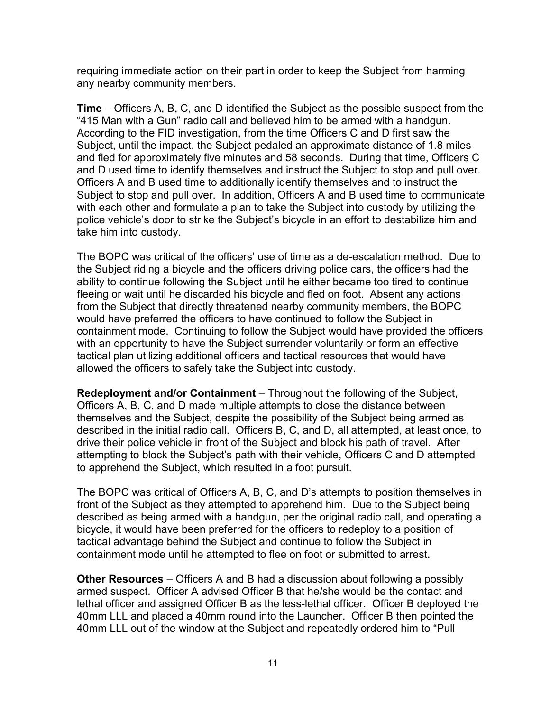requiring immediate action on their part in order to keep the Subject from harming any nearby community members.

**Time** – Officers A, B, C, and D identified the Subject as the possible suspect from the "415 Man with a Gun" radio call and believed him to be armed with a handgun. According to the FID investigation, from the time Officers C and D first saw the Subject, until the impact, the Subject pedaled an approximate distance of 1.8 miles and fled for approximately five minutes and 58 seconds. During that time, Officers C and D used time to identify themselves and instruct the Subject to stop and pull over. Officers A and B used time to additionally identify themselves and to instruct the Subject to stop and pull over. In addition, Officers A and B used time to communicate with each other and formulate a plan to take the Subject into custody by utilizing the police vehicle's door to strike the Subject's bicycle in an effort to destabilize him and take him into custody.

The BOPC was critical of the officers' use of time as a de-escalation method. Due to the Subject riding a bicycle and the officers driving police cars, the officers had the ability to continue following the Subject until he either became too tired to continue fleeing or wait until he discarded his bicycle and fled on foot. Absent any actions from the Subject that directly threatened nearby community members, the BOPC would have preferred the officers to have continued to follow the Subject in containment mode. Continuing to follow the Subject would have provided the officers with an opportunity to have the Subject surrender voluntarily or form an effective tactical plan utilizing additional officers and tactical resources that would have allowed the officers to safely take the Subject into custody.

**Redeployment and/or Containment** – Throughout the following of the Subject, Officers A, B, C, and D made multiple attempts to close the distance between themselves and the Subject, despite the possibility of the Subject being armed as described in the initial radio call. Officers B, C, and D, all attempted, at least once, to drive their police vehicle in front of the Subject and block his path of travel. After attempting to block the Subject's path with their vehicle, Officers C and D attempted to apprehend the Subject, which resulted in a foot pursuit.

The BOPC was critical of Officers A, B, C, and D's attempts to position themselves in front of the Subject as they attempted to apprehend him. Due to the Subject being described as being armed with a handgun, per the original radio call, and operating a bicycle, it would have been preferred for the officers to redeploy to a position of tactical advantage behind the Subject and continue to follow the Subject in containment mode until he attempted to flee on foot or submitted to arrest.

**Other Resources** – Officers A and B had a discussion about following a possibly armed suspect. Officer A advised Officer B that he/she would be the contact and lethal officer and assigned Officer B as the less-lethal officer. Officer B deployed the 40mm LLL and placed a 40mm round into the Launcher. Officer B then pointed the 40mm LLL out of the window at the Subject and repeatedly ordered him to "Pull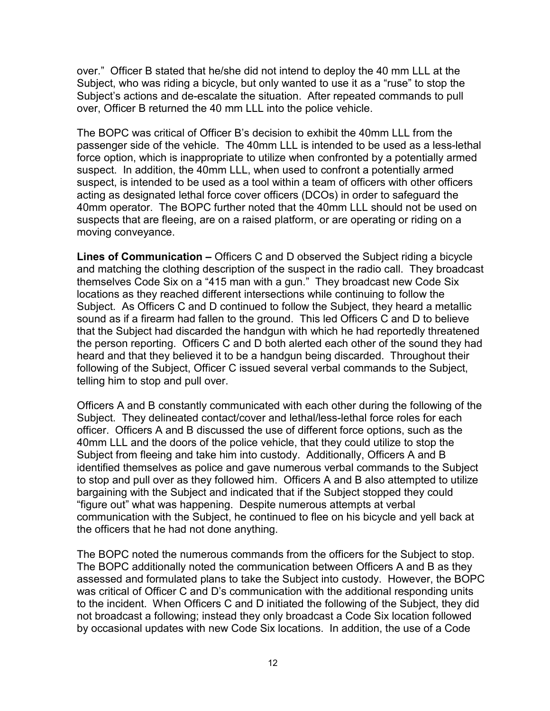over." Officer B stated that he/she did not intend to deploy the 40 mm LLL at the Subject, who was riding a bicycle, but only wanted to use it as a "ruse" to stop the Subject's actions and de-escalate the situation. After repeated commands to pull over, Officer B returned the 40 mm LLL into the police vehicle.

The BOPC was critical of Officer B's decision to exhibit the 40mm LLL from the passenger side of the vehicle. The 40mm LLL is intended to be used as a less-lethal force option, which is inappropriate to utilize when confronted by a potentially armed suspect. In addition, the 40mm LLL, when used to confront a potentially armed suspect, is intended to be used as a tool within a team of officers with other officers acting as designated lethal force cover officers (DCOs) in order to safeguard the 40mm operator. The BOPC further noted that the 40mm LLL should not be used on suspects that are fleeing, are on a raised platform, or are operating or riding on a moving conveyance.

**Lines of Communication –** Officers C and D observed the Subject riding a bicycle and matching the clothing description of the suspect in the radio call. They broadcast themselves Code Six on a "415 man with a gun." They broadcast new Code Six locations as they reached different intersections while continuing to follow the Subject. As Officers C and D continued to follow the Subject, they heard a metallic sound as if a firearm had fallen to the ground. This led Officers C and D to believe that the Subject had discarded the handgun with which he had reportedly threatened the person reporting. Officers C and D both alerted each other of the sound they had heard and that they believed it to be a handgun being discarded. Throughout their following of the Subject, Officer C issued several verbal commands to the Subject, telling him to stop and pull over.

Officers A and B constantly communicated with each other during the following of the Subject. They delineated contact/cover and lethal/less-lethal force roles for each officer. Officers A and B discussed the use of different force options, such as the 40mm LLL and the doors of the police vehicle, that they could utilize to stop the Subject from fleeing and take him into custody. Additionally, Officers A and B identified themselves as police and gave numerous verbal commands to the Subject to stop and pull over as they followed him. Officers A and B also attempted to utilize bargaining with the Subject and indicated that if the Subject stopped they could "figure out" what was happening. Despite numerous attempts at verbal communication with the Subject, he continued to flee on his bicycle and yell back at the officers that he had not done anything.

The BOPC noted the numerous commands from the officers for the Subject to stop. The BOPC additionally noted the communication between Officers A and B as they assessed and formulated plans to take the Subject into custody. However, the BOPC was critical of Officer C and D's communication with the additional responding units to the incident. When Officers C and D initiated the following of the Subject, they did not broadcast a following; instead they only broadcast a Code Six location followed by occasional updates with new Code Six locations. In addition, the use of a Code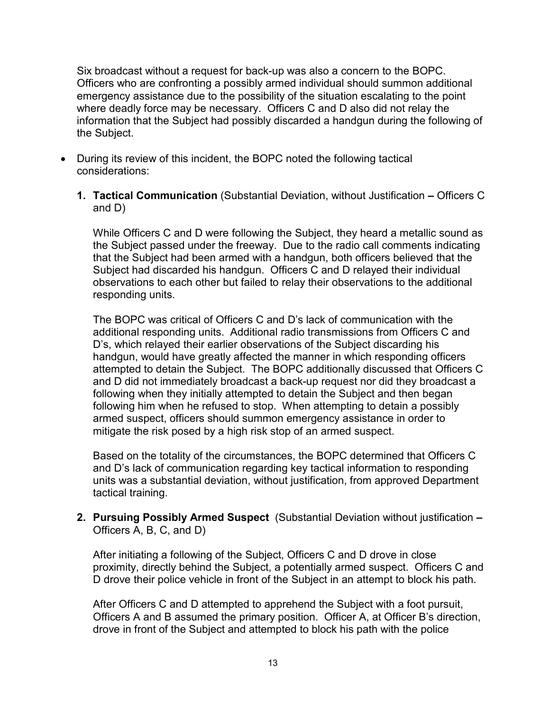Six broadcast without a request for back-up was also a concern to the BOPC. Officers who are confronting a possibly armed individual should summon additional emergency assistance due to the possibility of the situation escalating to the point where deadly force may be necessary. Officers C and D also did not relay the information that the Subject had possibly discarded a handgun during the following of the Subject.

- During its review of this incident, the BOPC noted the following tactical considerations:
	- **1. Tactical Communication** (Substantial Deviation, without Justification **–** Officers C and D)

While Officers C and D were following the Subject, they heard a metallic sound as the Subject passed under the freeway. Due to the radio call comments indicating that the Subject had been armed with a handgun, both officers believed that the Subject had discarded his handgun. Officers C and D relayed their individual observations to each other but failed to relay their observations to the additional responding units.

The BOPC was critical of Officers C and D's lack of communication with the additional responding units. Additional radio transmissions from Officers C and D's, which relayed their earlier observations of the Subject discarding his handgun, would have greatly affected the manner in which responding officers attempted to detain the Subject. The BOPC additionally discussed that Officers C and D did not immediately broadcast a back-up request nor did they broadcast a following when they initially attempted to detain the Subject and then began following him when he refused to stop. When attempting to detain a possibly armed suspect, officers should summon emergency assistance in order to mitigate the risk posed by a high risk stop of an armed suspect.

Based on the totality of the circumstances, the BOPC determined that Officers C and D's lack of communication regarding key tactical information to responding units was a substantial deviation, without justification, from approved Department tactical training.

**2. Pursuing Possibly Armed Suspect** (Substantial Deviation without justification **–** Officers A, B, C, and D)

After initiating a following of the Subject, Officers C and D drove in close proximity, directly behind the Subject, a potentially armed suspect. Officers C and D drove their police vehicle in front of the Subject in an attempt to block his path.

After Officers C and D attempted to apprehend the Subject with a foot pursuit, Officers A and B assumed the primary position. Officer A, at Officer B's direction, drove in front of the Subject and attempted to block his path with the police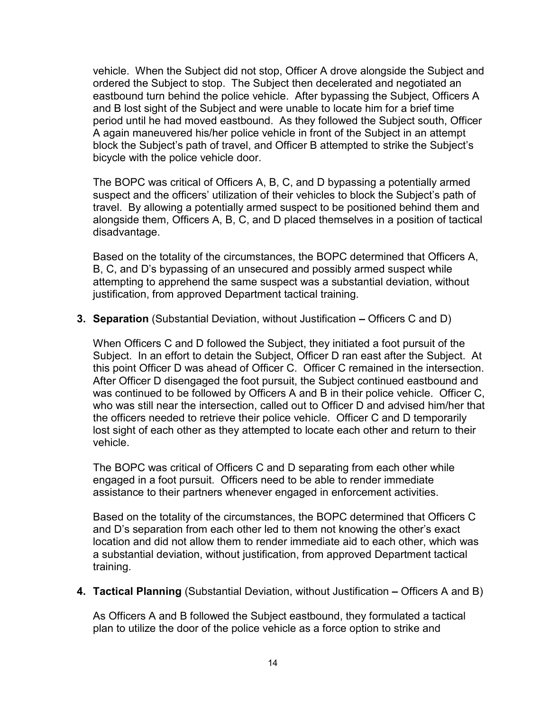vehicle. When the Subject did not stop, Officer A drove alongside the Subject and ordered the Subject to stop. The Subject then decelerated and negotiated an eastbound turn behind the police vehicle. After bypassing the Subject, Officers A and B lost sight of the Subject and were unable to locate him for a brief time period until he had moved eastbound. As they followed the Subject south, Officer A again maneuvered his/her police vehicle in front of the Subject in an attempt block the Subject's path of travel, and Officer B attempted to strike the Subject's bicycle with the police vehicle door.

The BOPC was critical of Officers A, B, C, and D bypassing a potentially armed suspect and the officers' utilization of their vehicles to block the Subject's path of travel. By allowing a potentially armed suspect to be positioned behind them and alongside them, Officers A, B, C, and D placed themselves in a position of tactical disadvantage.

Based on the totality of the circumstances, the BOPC determined that Officers A, B, C, and D's bypassing of an unsecured and possibly armed suspect while attempting to apprehend the same suspect was a substantial deviation, without justification, from approved Department tactical training.

**3. Separation** (Substantial Deviation, without Justification **–** Officers C and D)

When Officers C and D followed the Subject, they initiated a foot pursuit of the Subject. In an effort to detain the Subject, Officer D ran east after the Subject. At this point Officer D was ahead of Officer C. Officer C remained in the intersection. After Officer D disengaged the foot pursuit, the Subject continued eastbound and was continued to be followed by Officers A and B in their police vehicle. Officer C, who was still near the intersection, called out to Officer D and advised him/her that the officers needed to retrieve their police vehicle. Officer C and D temporarily lost sight of each other as they attempted to locate each other and return to their vehicle.

The BOPC was critical of Officers C and D separating from each other while engaged in a foot pursuit. Officers need to be able to render immediate assistance to their partners whenever engaged in enforcement activities.

Based on the totality of the circumstances, the BOPC determined that Officers C and D's separation from each other led to them not knowing the other's exact location and did not allow them to render immediate aid to each other, which was a substantial deviation, without justification, from approved Department tactical training.

**4. Tactical Planning** (Substantial Deviation, without Justification **–** Officers A and B)

As Officers A and B followed the Subject eastbound, they formulated a tactical plan to utilize the door of the police vehicle as a force option to strike and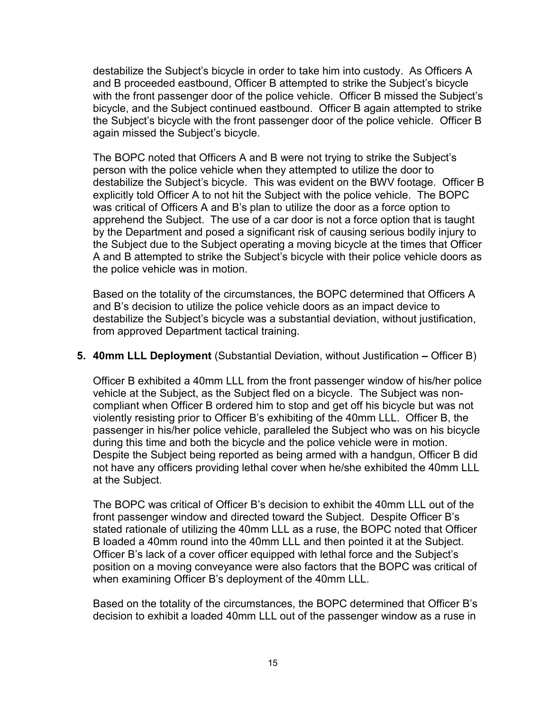destabilize the Subject's bicycle in order to take him into custody. As Officers A and B proceeded eastbound, Officer B attempted to strike the Subject's bicycle with the front passenger door of the police vehicle. Officer B missed the Subject's bicycle, and the Subject continued eastbound. Officer B again attempted to strike the Subject's bicycle with the front passenger door of the police vehicle. Officer B again missed the Subject's bicycle.

The BOPC noted that Officers A and B were not trying to strike the Subject's person with the police vehicle when they attempted to utilize the door to destabilize the Subject's bicycle. This was evident on the BWV footage. Officer B explicitly told Officer A to not hit the Subject with the police vehicle. The BOPC was critical of Officers A and B's plan to utilize the door as a force option to apprehend the Subject. The use of a car door is not a force option that is taught by the Department and posed a significant risk of causing serious bodily injury to the Subject due to the Subject operating a moving bicycle at the times that Officer A and B attempted to strike the Subject's bicycle with their police vehicle doors as the police vehicle was in motion.

Based on the totality of the circumstances, the BOPC determined that Officers A and B's decision to utilize the police vehicle doors as an impact device to destabilize the Subject's bicycle was a substantial deviation, without justification, from approved Department tactical training.

#### **5. 40mm LLL Deployment** (Substantial Deviation, without Justification **–** Officer B)

Officer B exhibited a 40mm LLL from the front passenger window of his/her police vehicle at the Subject, as the Subject fled on a bicycle. The Subject was noncompliant when Officer B ordered him to stop and get off his bicycle but was not violently resisting prior to Officer B's exhibiting of the 40mm LLL. Officer B, the passenger in his/her police vehicle, paralleled the Subject who was on his bicycle during this time and both the bicycle and the police vehicle were in motion. Despite the Subject being reported as being armed with a handgun, Officer B did not have any officers providing lethal cover when he/she exhibited the 40mm LLL at the Subject.

The BOPC was critical of Officer B's decision to exhibit the 40mm LLL out of the front passenger window and directed toward the Subject. Despite Officer B's stated rationale of utilizing the 40mm LLL as a ruse, the BOPC noted that Officer B loaded a 40mm round into the 40mm LLL and then pointed it at the Subject. Officer B's lack of a cover officer equipped with lethal force and the Subject's position on a moving conveyance were also factors that the BOPC was critical of when examining Officer B's deployment of the 40mm LLL.

Based on the totality of the circumstances, the BOPC determined that Officer B's decision to exhibit a loaded 40mm LLL out of the passenger window as a ruse in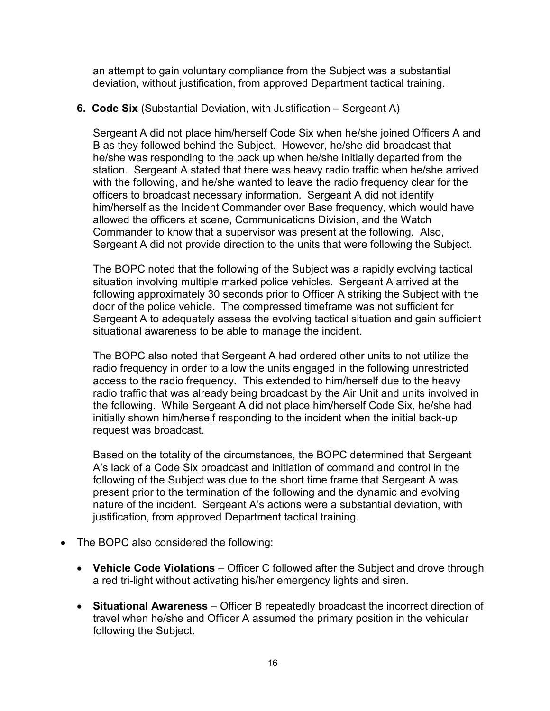an attempt to gain voluntary compliance from the Subject was a substantial deviation, without justification, from approved Department tactical training.

#### **6. Code Six** (Substantial Deviation, with Justification **–** Sergeant A)

Sergeant A did not place him/herself Code Six when he/she joined Officers A and B as they followed behind the Subject. However, he/she did broadcast that he/she was responding to the back up when he/she initially departed from the station. Sergeant A stated that there was heavy radio traffic when he/she arrived with the following, and he/she wanted to leave the radio frequency clear for the officers to broadcast necessary information. Sergeant A did not identify him/herself as the Incident Commander over Base frequency, which would have allowed the officers at scene, Communications Division, and the Watch Commander to know that a supervisor was present at the following. Also, Sergeant A did not provide direction to the units that were following the Subject.

The BOPC noted that the following of the Subject was a rapidly evolving tactical situation involving multiple marked police vehicles. Sergeant A arrived at the following approximately 30 seconds prior to Officer A striking the Subject with the door of the police vehicle. The compressed timeframe was not sufficient for Sergeant A to adequately assess the evolving tactical situation and gain sufficient situational awareness to be able to manage the incident.

The BOPC also noted that Sergeant A had ordered other units to not utilize the radio frequency in order to allow the units engaged in the following unrestricted access to the radio frequency. This extended to him/herself due to the heavy radio traffic that was already being broadcast by the Air Unit and units involved in the following. While Sergeant A did not place him/herself Code Six, he/she had initially shown him/herself responding to the incident when the initial back-up request was broadcast.

Based on the totality of the circumstances, the BOPC determined that Sergeant A's lack of a Code Six broadcast and initiation of command and control in the following of the Subject was due to the short time frame that Sergeant A was present prior to the termination of the following and the dynamic and evolving nature of the incident. Sergeant A's actions were a substantial deviation, with justification, from approved Department tactical training.

- The BOPC also considered the following:
	- **Vehicle Code Violations** Officer C followed after the Subject and drove through a red tri-light without activating his/her emergency lights and siren.
	- **Situational Awareness** Officer B repeatedly broadcast the incorrect direction of travel when he/she and Officer A assumed the primary position in the vehicular following the Subject.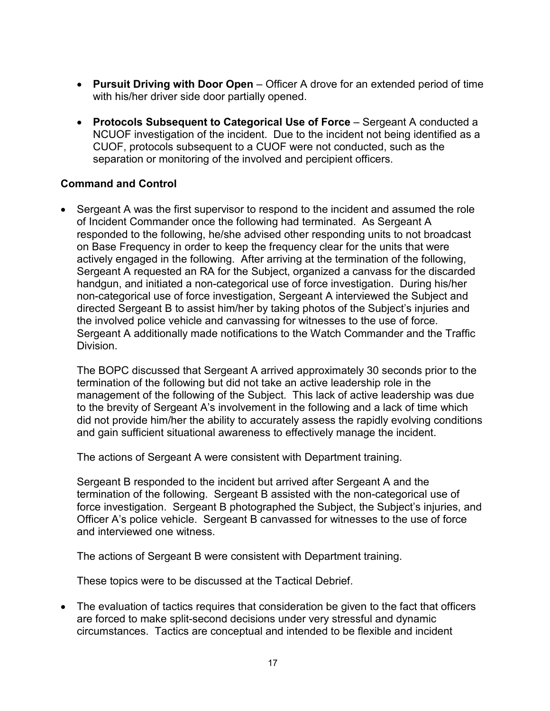- **Pursuit Driving with Door Open** Officer A drove for an extended period of time with his/her driver side door partially opened.
- **Protocols Subsequent to Categorical Use of Force** Sergeant A conducted a NCUOF investigation of the incident. Due to the incident not being identified as a CUOF, protocols subsequent to a CUOF were not conducted, such as the separation or monitoring of the involved and percipient officers.

## **Command and Control**

• Sergeant A was the first supervisor to respond to the incident and assumed the role of Incident Commander once the following had terminated. As Sergeant A responded to the following, he/she advised other responding units to not broadcast on Base Frequency in order to keep the frequency clear for the units that were actively engaged in the following. After arriving at the termination of the following, Sergeant A requested an RA for the Subject, organized a canvass for the discarded handgun, and initiated a non-categorical use of force investigation. During his/her non-categorical use of force investigation, Sergeant A interviewed the Subject and directed Sergeant B to assist him/her by taking photos of the Subject's injuries and the involved police vehicle and canvassing for witnesses to the use of force. Sergeant A additionally made notifications to the Watch Commander and the Traffic Division.

The BOPC discussed that Sergeant A arrived approximately 30 seconds prior to the termination of the following but did not take an active leadership role in the management of the following of the Subject. This lack of active leadership was due to the brevity of Sergeant A's involvement in the following and a lack of time which did not provide him/her the ability to accurately assess the rapidly evolving conditions and gain sufficient situational awareness to effectively manage the incident.

The actions of Sergeant A were consistent with Department training.

Sergeant B responded to the incident but arrived after Sergeant A and the termination of the following. Sergeant B assisted with the non-categorical use of force investigation. Sergeant B photographed the Subject, the Subject's injuries, and Officer A's police vehicle. Sergeant B canvassed for witnesses to the use of force and interviewed one witness.

The actions of Sergeant B were consistent with Department training.

These topics were to be discussed at the Tactical Debrief.

• The evaluation of tactics requires that consideration be given to the fact that officers are forced to make split-second decisions under very stressful and dynamic circumstances. Tactics are conceptual and intended to be flexible and incident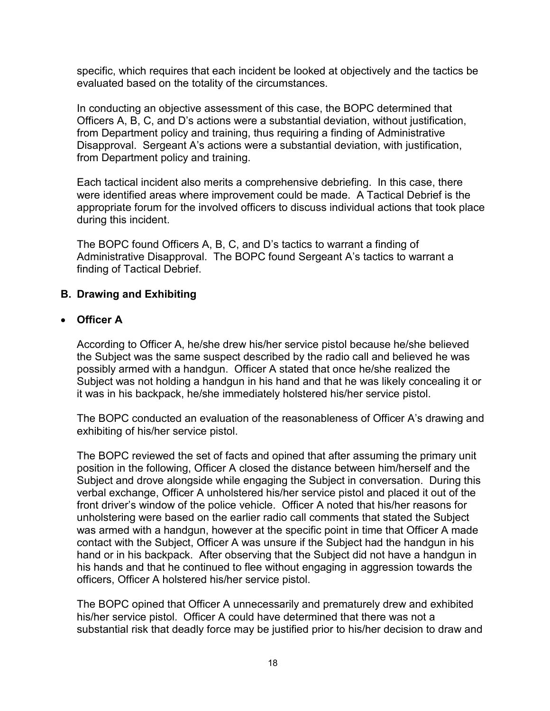specific, which requires that each incident be looked at objectively and the tactics be evaluated based on the totality of the circumstances.

In conducting an objective assessment of this case, the BOPC determined that Officers A, B, C, and D's actions were a substantial deviation, without justification, from Department policy and training, thus requiring a finding of Administrative Disapproval. Sergeant A's actions were a substantial deviation, with justification, from Department policy and training.

Each tactical incident also merits a comprehensive debriefing. In this case, there were identified areas where improvement could be made. A Tactical Debrief is the appropriate forum for the involved officers to discuss individual actions that took place during this incident.

The BOPC found Officers A, B, C, and D's tactics to warrant a finding of Administrative Disapproval. The BOPC found Sergeant A's tactics to warrant a finding of Tactical Debrief.

## **B. Drawing and Exhibiting**

#### • **Officer A**

According to Officer A, he/she drew his/her service pistol because he/she believed the Subject was the same suspect described by the radio call and believed he was possibly armed with a handgun. Officer A stated that once he/she realized the Subject was not holding a handgun in his hand and that he was likely concealing it or it was in his backpack, he/she immediately holstered his/her service pistol.

The BOPC conducted an evaluation of the reasonableness of Officer A's drawing and exhibiting of his/her service pistol.

The BOPC reviewed the set of facts and opined that after assuming the primary unit position in the following, Officer A closed the distance between him/herself and the Subject and drove alongside while engaging the Subject in conversation. During this verbal exchange, Officer A unholstered his/her service pistol and placed it out of the front driver's window of the police vehicle. Officer A noted that his/her reasons for unholstering were based on the earlier radio call comments that stated the Subject was armed with a handgun, however at the specific point in time that Officer A made contact with the Subject, Officer A was unsure if the Subject had the handgun in his hand or in his backpack. After observing that the Subject did not have a handgun in his hands and that he continued to flee without engaging in aggression towards the officers, Officer A holstered his/her service pistol.

The BOPC opined that Officer A unnecessarily and prematurely drew and exhibited his/her service pistol. Officer A could have determined that there was not a substantial risk that deadly force may be justified prior to his/her decision to draw and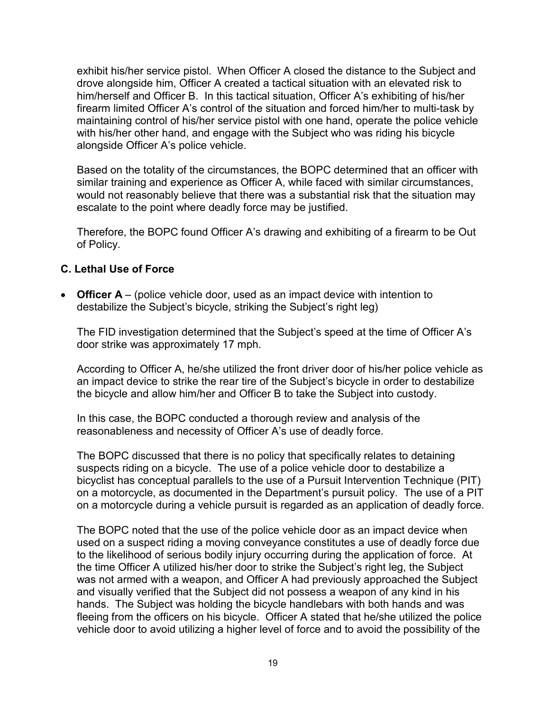exhibit his/her service pistol. When Officer A closed the distance to the Subject and drove alongside him, Officer A created a tactical situation with an elevated risk to him/herself and Officer B. In this tactical situation, Officer A's exhibiting of his/her firearm limited Officer A's control of the situation and forced him/her to multi-task by maintaining control of his/her service pistol with one hand, operate the police vehicle with his/her other hand, and engage with the Subject who was riding his bicycle alongside Officer A's police vehicle.

Based on the totality of the circumstances, the BOPC determined that an officer with similar training and experience as Officer A, while faced with similar circumstances, would not reasonably believe that there was a substantial risk that the situation may escalate to the point where deadly force may be justified.

Therefore, the BOPC found Officer A's drawing and exhibiting of a firearm to be Out of Policy.

#### **C. Lethal Use of Force**

• **Officer A** – (police vehicle door, used as an impact device with intention to destabilize the Subject's bicycle, striking the Subject's right leg)

The FID investigation determined that the Subject's speed at the time of Officer A's door strike was approximately 17 mph.

According to Officer A, he/she utilized the front driver door of his/her police vehicle as an impact device to strike the rear tire of the Subject's bicycle in order to destabilize the bicycle and allow him/her and Officer B to take the Subject into custody.

In this case, the BOPC conducted a thorough review and analysis of the reasonableness and necessity of Officer A's use of deadly force.

The BOPC discussed that there is no policy that specifically relates to detaining suspects riding on a bicycle. The use of a police vehicle door to destabilize a bicyclist has conceptual parallels to the use of a Pursuit Intervention Technique (PIT) on a motorcycle, as documented in the Department's pursuit policy. The use of a PIT on a motorcycle during a vehicle pursuit is regarded as an application of deadly force.

The BOPC noted that the use of the police vehicle door as an impact device when used on a suspect riding a moving conveyance constitutes a use of deadly force due to the likelihood of serious bodily injury occurring during the application of force. At the time Officer A utilized his/her door to strike the Subject's right leg, the Subject was not armed with a weapon, and Officer A had previously approached the Subject and visually verified that the Subject did not possess a weapon of any kind in his hands. The Subject was holding the bicycle handlebars with both hands and was fleeing from the officers on his bicycle. Officer A stated that he/she utilized the police vehicle door to avoid utilizing a higher level of force and to avoid the possibility of the